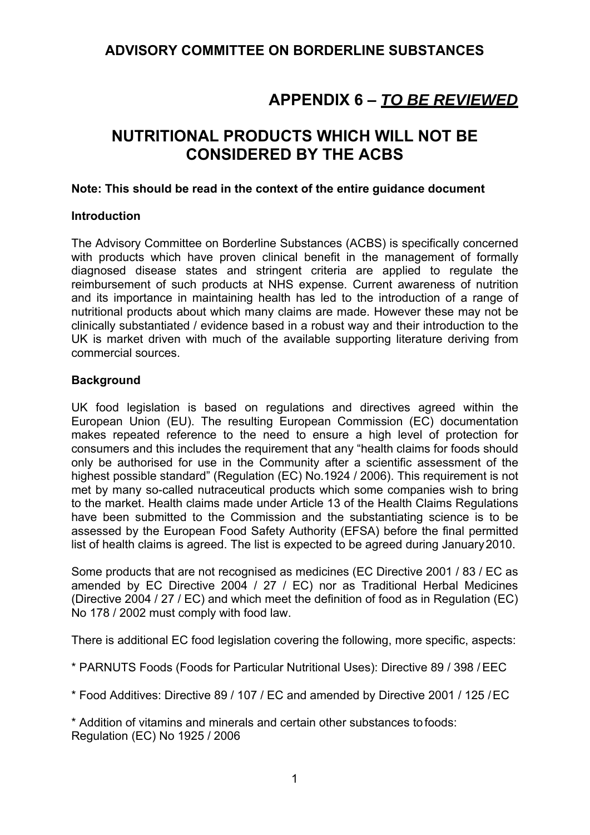## **ADVISORY COMMITTEE ON BORDERLINE SUBSTANCES**

# **APPENDIX 6 –** *TO BE REVIEWED*

# **NUTRITIONAL PRODUCTS WHICH WILL NOT BE CONSIDERED BY THE ACBS**

#### **Note: This should be read in the context of the entire guidance document**

#### **Introduction**

The Advisory Committee on Borderline Substances (ACBS) is specifically concerned with products which have proven clinical benefit in the management of formally diagnosed disease states and stringent criteria are applied to regulate the reimbursement of such products at NHS expense. Current awareness of nutrition and its importance in maintaining health has led to the introduction of a range of nutritional products about which many claims are made. However these may not be clinically substantiated / evidence based in a robust way and their introduction to the UK is market driven with much of the available supporting literature deriving from commercial sources.

#### **Background**

UK food legislation is based on regulations and directives agreed within the European Union (EU). The resulting European Commission (EC) documentation makes repeated reference to the need to ensure a high level of protection for consumers and this includes the requirement that any "health claims for foods should only be authorised for use in the Community after a scientific assessment of the highest possible standard" (Regulation (EC) No.1924 / 2006). This requirement is not met by many so-called nutraceutical products which some companies wish to bring to the market. Health claims made under Article 13 of the Health Claims Regulations have been submitted to the Commission and the substantiating science is to be assessed by the European Food Safety Authority (EFSA) before the final permitted list of health claims is agreed. The list is expected to be agreed during January 2010.

Some products that are not recognised as medicines (EC Directive 2001 / 83 / EC as amended by EC Directive 2004 / 27 / EC) nor as Traditional Herbal Medicines (Directive 2004 / 27 / EC) and which meet the definition of food as in Regulation (EC) No 178 / 2002 must comply with food law.

There is additional EC food legislation covering the following, more specific, aspects:

\* PARNUTS Foods (Foods for Particular Nutritional Uses): Directive 89 / 398 / EEC

\* Food Additives: Directive 89 / 107 / EC and amended by Directive 2001 / 125 / EC

\* Addition of vitamins and minerals and certain other substances to foods: Regulation (EC) No 1925 / 2006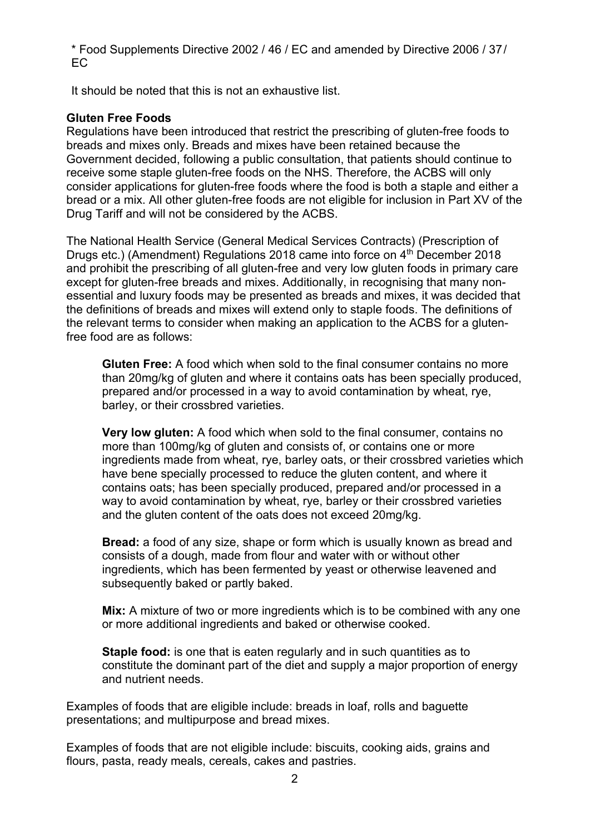\* Food Supplements Directive 2002 / 46 / EC and amended by Directive 2006 / 37 / EC

It should be noted that this is not an exhaustive list.

### **Gluten Free Foods**

Regulations have been introduced that restrict the prescribing of gluten-free foods to breads and mixes only. Breads and mixes have been retained because the Government decided, following a public consultation, that patients should continue to receive some staple gluten-free foods on the NHS. Therefore, the ACBS will only consider applications for gluten-free foods where the food is both a staple and either a bread or a mix. All other gluten-free foods are not eligible for inclusion in Part XV of the Drug Tariff and will not be considered by the ACBS.

The National Health Service (General Medical Services Contracts) (Prescription of Drugs etc.) (Amendment) Regulations 2018 came into force on 4<sup>th</sup> December 2018 and prohibit the prescribing of all gluten-free and very low gluten foods in primary care except for gluten-free breads and mixes. Additionally, in recognising that many nonessential and luxury foods may be presented as breads and mixes, it was decided that the definitions of breads and mixes will extend only to staple foods. The definitions of the relevant terms to consider when making an application to the ACBS for a glutenfree food are as follows:

**Gluten Free:** A food which when sold to the final consumer contains no more than 20mg/kg of gluten and where it contains oats has been specially produced, prepared and/or processed in a way to avoid contamination by wheat, rye, barley, or their crossbred varieties.

**Very low gluten:** A food which when sold to the final consumer, contains no more than 100mg/kg of gluten and consists of, or contains one or more ingredients made from wheat, rye, barley oats, or their crossbred varieties which have bene specially processed to reduce the gluten content, and where it contains oats; has been specially produced, prepared and/or processed in a way to avoid contamination by wheat, rye, barley or their crossbred varieties and the gluten content of the oats does not exceed 20mg/kg.

**Bread:** a food of any size, shape or form which is usually known as bread and consists of a dough, made from flour and water with or without other ingredients, which has been fermented by yeast or otherwise leavened and subsequently baked or partly baked.

**Mix:** A mixture of two or more ingredients which is to be combined with any one or more additional ingredients and baked or otherwise cooked.

**Staple food:** is one that is eaten regularly and in such quantities as to constitute the dominant part of the diet and supply a major proportion of energy and nutrient needs.

Examples of foods that are eligible include: breads in loaf, rolls and baguette presentations; and multipurpose and bread mixes.

Examples of foods that are not eligible include: biscuits, cooking aids, grains and flours, pasta, ready meals, cereals, cakes and pastries.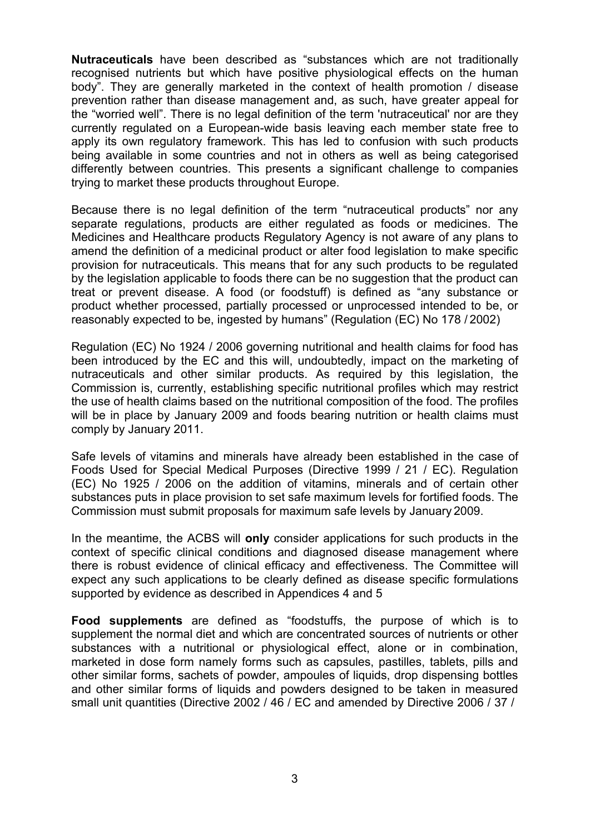**Nutraceuticals** have been described as "substances which are not traditionally recognised nutrients but which have positive physiological effects on the human body". They are generally marketed in the context of health promotion / disease prevention rather than disease management and, as such, have greater appeal for the "worried well". There is no legal definition of the term 'nutraceutical' nor are they currently regulated on a European-wide basis leaving each member state free to apply its own regulatory framework. This has led to confusion with such products being available in some countries and not in others as well as being categorised differently between countries. This presents a significant challenge to companies trying to market these products throughout Europe.

Because there is no legal definition of the term "nutraceutical products" nor any separate regulations, products are either regulated as foods or medicines. The Medicines and Healthcare products Regulatory Agency is not aware of any plans to amend the definition of a medicinal product or alter food legislation to make specific provision for nutraceuticals. This means that for any such products to be regulated by the legislation applicable to foods there can be no suggestion that the product can treat or prevent disease. A food (or foodstuff) is defined as "any substance or product whether processed, partially processed or unprocessed intended to be, or reasonably expected to be, ingested by humans" (Regulation (EC) No 178 / 2002)

Regulation (EC) No 1924 / 2006 governing nutritional and health claims for food has been introduced by the EC and this will, undoubtedly, impact on the marketing of nutraceuticals and other similar products. As required by this legislation, the Commission is, currently, establishing specific nutritional profiles which may restrict the use of health claims based on the nutritional composition of the food. The profiles will be in place by January 2009 and foods bearing nutrition or health claims must comply by January 2011.

Safe levels of vitamins and minerals have already been established in the case of Foods Used for Special Medical Purposes (Directive 1999 / 21 / EC). Regulation (EC) No 1925 / 2006 on the addition of vitamins, minerals and of certain other substances puts in place provision to set safe maximum levels for fortified foods. The Commission must submit proposals for maximum safe levels by January 2009.

In the meantime, the ACBS will **only** consider applications for such products in the context of specific clinical conditions and diagnosed disease management where there is robust evidence of clinical efficacy and effectiveness. The Committee will expect any such applications to be clearly defined as disease specific formulations supported by evidence as described in Appendices 4 and 5

**Food supplements** are defined as "foodstuffs, the purpose of which is to supplement the normal diet and which are concentrated sources of nutrients or other substances with a nutritional or physiological effect, alone or in combination, marketed in dose form namely forms such as capsules, pastilles, tablets, pills and other similar forms, sachets of powder, ampoules of liquids, drop dispensing bottles and other similar forms of liquids and powders designed to be taken in measured small unit quantities (Directive 2002 / 46 / EC and amended by Directive 2006 / 37 /